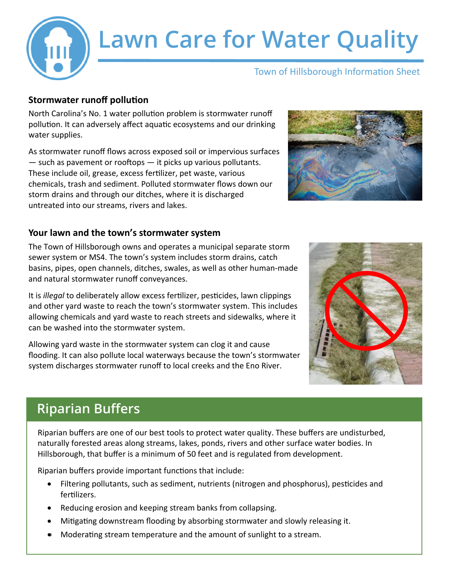

# **Lawn Care for Water Quality**

#### Town of Hillsborough Information Sheet

#### **Stormwater runoff pollution**

North Carolina's No. 1 water pollution problem is stormwater runoff pollution. It can adversely affect aquatic ecosystems and our drinking water supplies.

As stormwater runoff flows across exposed soil or impervious surfaces  $-$  such as pavement or rooftops  $-$  it picks up various pollutants. These include oil, grease, excess fertilizer, pet waste, various chemicals, trash and sediment. Polluted stormwater flows down our storm drains and through our ditches, where it is discharged untreated into our streams, rivers and lakes.

#### **Your lawn and the town's stormwater system**

The Town of Hillsborough owns and operates a municipal separate storm sewer system or MS4. The town's system includes storm drains, catch basins, pipes, open channels, ditches, swales, as well as other human-made and natural stormwater runoff conveyances.

It is *illegal* to deliberately allow excess fertilizer, pesticides, lawn clippings and other yard waste to reach the town's stormwater system. This includes allowing chemicals and yard waste to reach streets and sidewalks, where it can be washed into the stormwater system.

Allowing yard waste in the stormwater system can clog it and cause flooding. It can also pollute local waterways because the town's stormwater system discharges stormwater runoff to local creeks and the Eno River.





### **Riparian Buffers**

Riparian buffers are one of our best tools to protect water quality. These buffers are undisturbed, naturally forested areas along streams, lakes, ponds, rivers and other surface water bodies. In Hillsborough, that buffer is a minimum of 50 feet and is regulated from development.

Riparian buffers provide important functions that include:

- Filtering pollutants, such as sediment, nutrients (nitrogen and phosphorus), pesticides and fertilizers.
- Reducing erosion and keeping stream banks from collapsing.
- Mitigating downstream flooding by absorbing stormwater and slowly releasing it.
- Moderating stream temperature and the amount of sunlight to a stream.